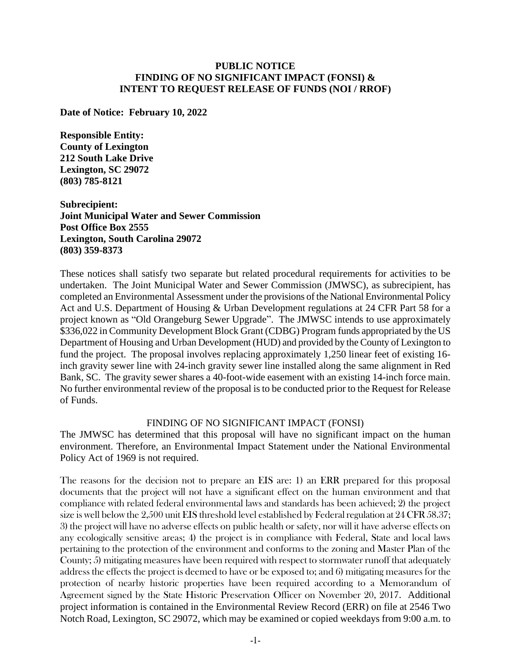#### **PUBLIC NOTICE FINDING OF NO SIGNIFICANT IMPACT (FONSI) & INTENT TO REQUEST RELEASE OF FUNDS (NOI / RROF)**

**Date of Notice: February 10, 2022**

**Responsible Entity: County of Lexington 212 South Lake Drive Lexington, SC 29072 (803) 785-8121**

**Subrecipient: Joint Municipal Water and Sewer Commission Post Office Box 2555 Lexington, South Carolina 29072 (803) 359-8373**

These notices shall satisfy two separate but related procedural requirements for activities to be undertaken. The Joint Municipal Water and Sewer Commission (JMWSC), as subrecipient, has completed an Environmental Assessment under the provisions of the National Environmental Policy Act and U.S. Department of Housing & Urban Development regulations at 24 CFR Part 58 for a project known as "Old Orangeburg Sewer Upgrade". The JMWSC intends to use approximately \$336,022 in Community Development Block Grant (CDBG) Program funds appropriated by the US Department of Housing and Urban Development (HUD) and provided by the County of Lexington to fund the project. The proposal involves replacing approximately 1,250 linear feet of existing 16 inch gravity sewer line with 24-inch gravity sewer line installed along the same alignment in Red Bank, SC. The gravity sewer shares a 40-foot-wide easement with an existing 14-inch force main. No further environmental review of the proposal is to be conducted prior to the Request for Release of Funds.

#### FINDING OF NO SIGNIFICANT IMPACT (FONSI)

The JMWSC has determined that this proposal will have no significant impact on the human environment. Therefore, an Environmental Impact Statement under the National Environmental Policy Act of 1969 is not required.

The reasons for the decision not to prepare an EIS are: 1) an ERR prepared for this proposal documents that the project will not have a significant effect on the human environment and that compliance with related federal environmental laws and standards has been achieved; 2) the project size is well below the 2,500 unit EIS threshold level established by Federal regulation at 24 CFR 58.37; 3) the project will have no adverse effects on public health or safety, nor will it have adverse effects on any ecologically sensitive areas; 4) the project is in compliance with Federal, State and local laws pertaining to the protection of the environment and conforms to the zoning and Master Plan of the County; 5) mitigating measures have been required with respect to stormwater runoff that adequately address the effects the project is deemed to have or be exposed to; and 6) mitigating measures for the protection of nearby historic properties have been required according to a Memorandum of Agreement signed by the State Historic Preservation Officer on November 20, 2017. Additional project information is contained in the Environmental Review Record (ERR) on file at 2546 Two Notch Road, Lexington, SC 29072, which may be examined or copied weekdays from 9:00 a.m. to